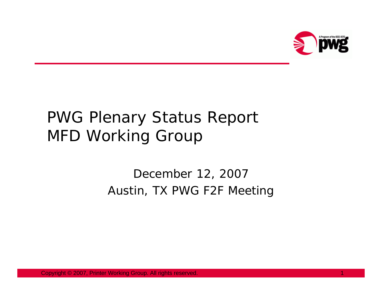

## PWG Plenary Status Report MFD Working Group

## December 12, 2007 Austin, TX PWG F2F Meeting

Copyright © 2007, Printer Working Group. All rights reserved. 1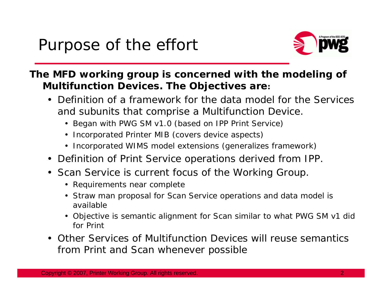

## **The MFD working group is concerned with the modeling of Multifunction Devices. The Objectives are:**

- Definition of a framework for the data model for the Services and subunits that comprise a Multifunction Device.
	- Began with PWG SM v1.0 (based on IPP Print Service)
	- Incorporated Printer MIB (covers device aspects)
	- Incorporated WIMS model extensions (generalizes framework)
- Definition of Print Service operations derived from IPP.
- Scan Service is current focus of the Working Group.
	- Requirements near complete
	- Straw man proposal for Scan Service operations and data model is available
	- Objective is semantic alignment for Scan similar to what PWG SM v1 did for Print
- Other Services of Multifunction Devices will reuse semantics from Print and Scan whenever possible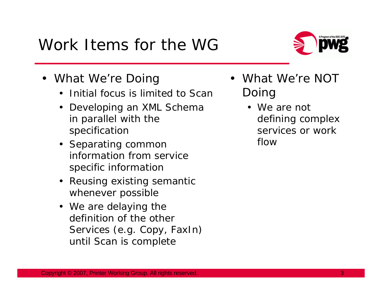## Work Items for the WG

- What We're Doing
	- Initial focus is limited to Scan
	- Developing an XML Schema in parallel with the specification
	- Separating common information from service specific information
	- Reusing existing semantic whenever possible
	- We are delaying the definition of the other Services (e.g. Copy, FaxIn) until Scan is complete
- • What We're NOT Doing
	- We are not defining complex services or work flow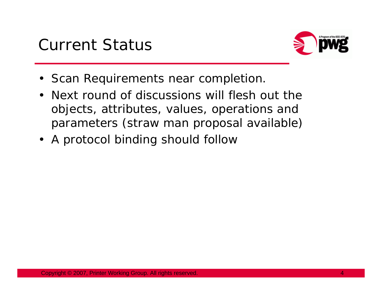

- Scan Requirements near completion.
- Next round of discussions will flesh out the objects, attributes, values, operations and parameters (straw man proposal available)
- A protocol binding should follow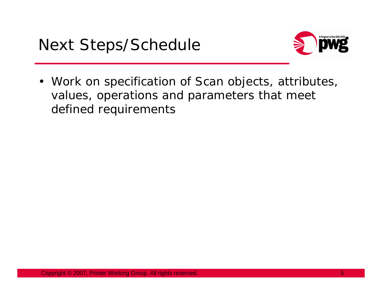

• Work on specification of Scan objects, attributes, values, operations and parameters that meet defined requirements